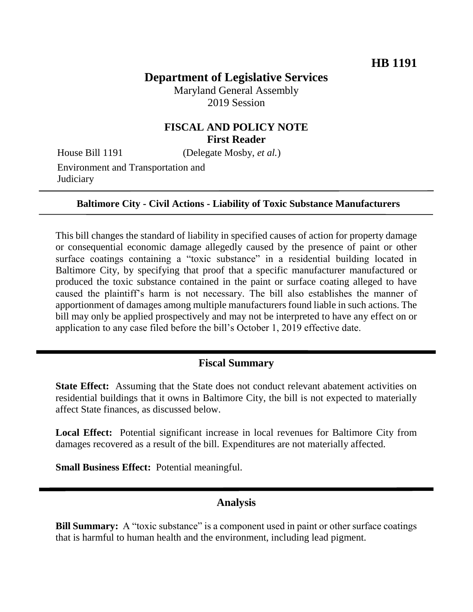# **Department of Legislative Services**

Maryland General Assembly 2019 Session

## **FISCAL AND POLICY NOTE First Reader**

House Bill 1191 (Delegate Mosby, *et al.*)

Environment and Transportation and **Judiciary** 

#### **Baltimore City - Civil Actions - Liability of Toxic Substance Manufacturers**

This bill changes the standard of liability in specified causes of action for property damage or consequential economic damage allegedly caused by the presence of paint or other surface coatings containing a "toxic substance" in a residential building located in Baltimore City, by specifying that proof that a specific manufacturer manufactured or produced the toxic substance contained in the paint or surface coating alleged to have caused the plaintiff's harm is not necessary. The bill also establishes the manner of apportionment of damages among multiple manufacturers found liable in such actions. The bill may only be applied prospectively and may not be interpreted to have any effect on or application to any case filed before the bill's October 1, 2019 effective date.

## **Fiscal Summary**

**State Effect:** Assuming that the State does not conduct relevant abatement activities on residential buildings that it owns in Baltimore City, the bill is not expected to materially affect State finances, as discussed below.

**Local Effect:** Potential significant increase in local revenues for Baltimore City from damages recovered as a result of the bill. Expenditures are not materially affected.

**Small Business Effect:** Potential meaningful.

#### **Analysis**

**Bill Summary:** A "toxic substance" is a component used in paint or other surface coatings that is harmful to human health and the environment, including lead pigment.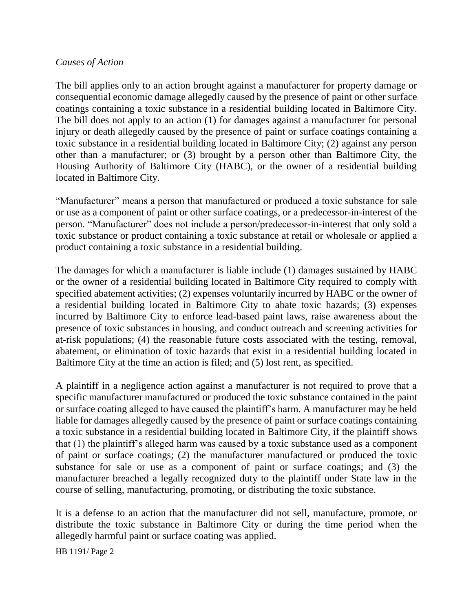### *Causes of Action*

The bill applies only to an action brought against a manufacturer for property damage or consequential economic damage allegedly caused by the presence of paint or other surface coatings containing a toxic substance in a residential building located in Baltimore City. The bill does not apply to an action (1) for damages against a manufacturer for personal injury or death allegedly caused by the presence of paint or surface coatings containing a toxic substance in a residential building located in Baltimore City; (2) against any person other than a manufacturer; or (3) brought by a person other than Baltimore City, the Housing Authority of Baltimore City (HABC), or the owner of a residential building located in Baltimore City.

"Manufacturer" means a person that manufactured or produced a toxic substance for sale or use as a component of paint or other surface coatings, or a predecessor-in-interest of the person. "Manufacturer" does not include a person/predecessor-in-interest that only sold a toxic substance or product containing a toxic substance at retail or wholesale or applied a product containing a toxic substance in a residential building.

The damages for which a manufacturer is liable include (1) damages sustained by HABC or the owner of a residential building located in Baltimore City required to comply with specified abatement activities; (2) expenses voluntarily incurred by HABC or the owner of a residential building located in Baltimore City to abate toxic hazards; (3) expenses incurred by Baltimore City to enforce lead-based paint laws, raise awareness about the presence of toxic substances in housing, and conduct outreach and screening activities for at-risk populations; (4) the reasonable future costs associated with the testing, removal, abatement, or elimination of toxic hazards that exist in a residential building located in Baltimore City at the time an action is filed; and (5) lost rent, as specified.

A plaintiff in a negligence action against a manufacturer is not required to prove that a specific manufacturer manufactured or produced the toxic substance contained in the paint or surface coating alleged to have caused the plaintiff's harm. A manufacturer may be held liable for damages allegedly caused by the presence of paint or surface coatings containing a toxic substance in a residential building located in Baltimore City, if the plaintiff shows that (1) the plaintiff's alleged harm was caused by a toxic substance used as a component of paint or surface coatings; (2) the manufacturer manufactured or produced the toxic substance for sale or use as a component of paint or surface coatings; and (3) the manufacturer breached a legally recognized duty to the plaintiff under State law in the course of selling, manufacturing, promoting, or distributing the toxic substance.

It is a defense to an action that the manufacturer did not sell, manufacture, promote, or distribute the toxic substance in Baltimore City or during the time period when the allegedly harmful paint or surface coating was applied.

HB 1191/ Page 2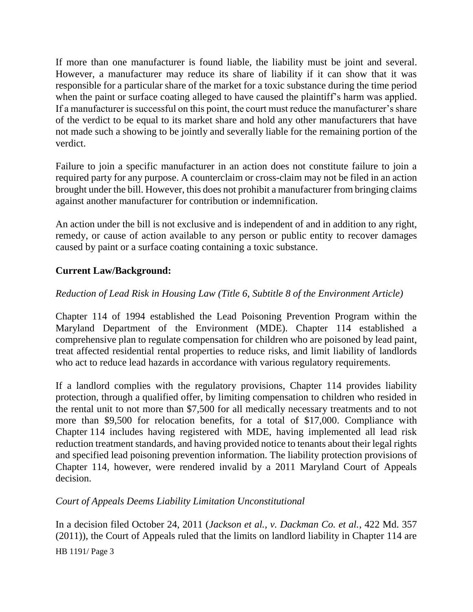If more than one manufacturer is found liable, the liability must be joint and several. However, a manufacturer may reduce its share of liability if it can show that it was responsible for a particular share of the market for a toxic substance during the time period when the paint or surface coating alleged to have caused the plaintiff's harm was applied. If a manufacturer is successful on this point, the court must reduce the manufacturer's share of the verdict to be equal to its market share and hold any other manufacturers that have not made such a showing to be jointly and severally liable for the remaining portion of the verdict.

Failure to join a specific manufacturer in an action does not constitute failure to join a required party for any purpose. A counterclaim or cross-claim may not be filed in an action brought under the bill. However, this does not prohibit a manufacturer from bringing claims against another manufacturer for contribution or indemnification.

An action under the bill is not exclusive and is independent of and in addition to any right, remedy, or cause of action available to any person or public entity to recover damages caused by paint or a surface coating containing a toxic substance.

## **Current Law/Background:**

## *Reduction of Lead Risk in Housing Law (Title 6, Subtitle 8 of the Environment Article)*

Chapter 114 of 1994 established the Lead Poisoning Prevention Program within the Maryland Department of the Environment (MDE). Chapter 114 established a comprehensive plan to regulate compensation for children who are poisoned by lead paint, treat affected residential rental properties to reduce risks, and limit liability of landlords who act to reduce lead hazards in accordance with various regulatory requirements.

If a landlord complies with the regulatory provisions, Chapter 114 provides liability protection, through a qualified offer, by limiting compensation to children who resided in the rental unit to not more than \$7,500 for all medically necessary treatments and to not more than \$9,500 for relocation benefits, for a total of \$17,000. Compliance with Chapter 114 includes having registered with MDE, having implemented all lead risk reduction treatment standards, and having provided notice to tenants about their legal rights and specified lead poisoning prevention information. The liability protection provisions of Chapter 114, however, were rendered invalid by a 2011 Maryland Court of Appeals decision.

## *Court of Appeals Deems Liability Limitation Unconstitutional*

In a decision filed October 24, 2011 (*Jackson et al., v. Dackman Co. et al.*, 422 Md. 357 (2011)), the Court of Appeals ruled that the limits on landlord liability in Chapter 114 are

HB 1191/ Page 3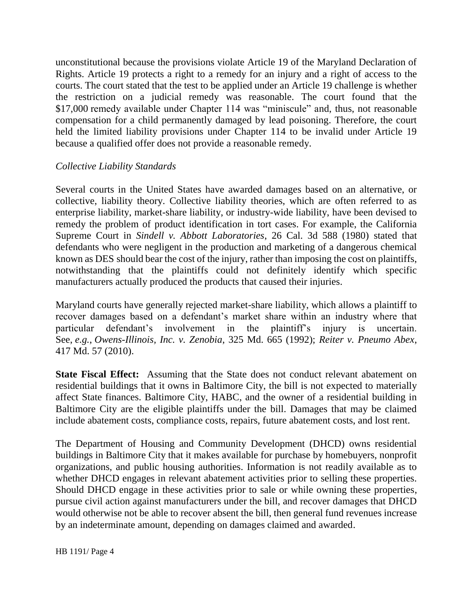unconstitutional because the provisions violate Article 19 of the Maryland Declaration of Rights. Article 19 protects a right to a remedy for an injury and a right of access to the courts. The court stated that the test to be applied under an Article 19 challenge is whether the restriction on a judicial remedy was reasonable. The court found that the \$17,000 remedy available under Chapter 114 was "miniscule" and, thus, not reasonable compensation for a child permanently damaged by lead poisoning. Therefore, the court held the limited liability provisions under Chapter 114 to be invalid under Article 19 because a qualified offer does not provide a reasonable remedy.

### *Collective Liability Standards*

Several courts in the United States have awarded damages based on an alternative, or collective, liability theory. Collective liability theories, which are often referred to as enterprise liability, market-share liability, or industry-wide liability, have been devised to remedy the problem of product identification in tort cases. For example, the California Supreme Court in *Sindell v. Abbott Laboratories*, 26 Cal. 3d 588 (1980) stated that defendants who were negligent in the production and marketing of a dangerous chemical known as DES should bear the cost of the injury, rather than imposing the cost on plaintiffs, notwithstanding that the plaintiffs could not definitely identify which specific manufacturers actually produced the products that caused their injuries.

Maryland courts have generally rejected market-share liability, which allows a plaintiff to recover damages based on a defendant's market share within an industry where that particular defendant's involvement in the plaintiff's injury is uncertain. See, *e.g.*, *Owens-Illinois, Inc. v. Zenobia*, 325 Md. 665 (1992); *Reiter v. Pneumo Abex*, 417 Md. 57 (2010).

**State Fiscal Effect:** Assuming that the State does not conduct relevant abatement on residential buildings that it owns in Baltimore City, the bill is not expected to materially affect State finances. Baltimore City, HABC, and the owner of a residential building in Baltimore City are the eligible plaintiffs under the bill. Damages that may be claimed include abatement costs, compliance costs, repairs, future abatement costs, and lost rent.

The Department of Housing and Community Development (DHCD) owns residential buildings in Baltimore City that it makes available for purchase by homebuyers, nonprofit organizations, and public housing authorities. Information is not readily available as to whether DHCD engages in relevant abatement activities prior to selling these properties. Should DHCD engage in these activities prior to sale or while owning these properties, pursue civil action against manufacturers under the bill, and recover damages that DHCD would otherwise not be able to recover absent the bill, then general fund revenues increase by an indeterminate amount, depending on damages claimed and awarded.